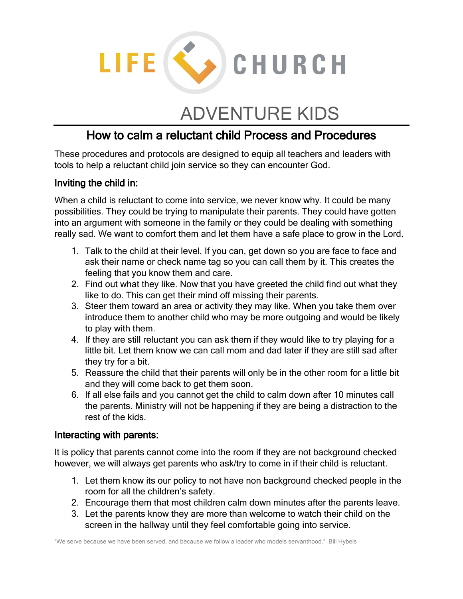

# ADVENTURE KIDS

## How to calm a reluctant child Process and Procedures

These procedures and protocols are designed to equip all teachers and leaders with tools to help a reluctant child join service so they can encounter God.

#### Inviting the child in:

When a child is reluctant to come into service, we never know why. It could be many possibilities. They could be trying to manipulate their parents. They could have gotten into an argument with someone in the family or they could be dealing with something really sad. We want to comfort them and let them have a safe place to grow in the Lord.

- 1. Talk to the child at their level. If you can, get down so you are face to face and ask their name or check name tag so you can call them by it. This creates the feeling that you know them and care.
- 2. Find out what they like. Now that you have greeted the child find out what they like to do. This can get their mind off missing their parents.
- 3. Steer them toward an area or activity they may like. When you take them over introduce them to another child who may be more outgoing and would be likely to play with them.
- 4. If they are still reluctant you can ask them if they would like to try playing for a little bit. Let them know we can call mom and dad later if they are still sad after they try for a bit.
- 5. Reassure the child that their parents will only be in the other room for a little bit and they will come back to get them soon.
- 6. If all else fails and you cannot get the child to calm down after 10 minutes call the parents. Ministry will not be happening if they are being a distraction to the rest of the kids.

#### Interacting with parents:

It is policy that parents cannot come into the room if they are not background checked however, we will always get parents who ask/try to come in if their child is reluctant.

- 1. Let them know its our policy to not have non background checked people in the room for all the children's safety.
- 2. Encourage them that most children calm down minutes after the parents leave.
- 3. Let the parents know they are more than welcome to watch their child on the screen in the hallway until they feel comfortable going into service.